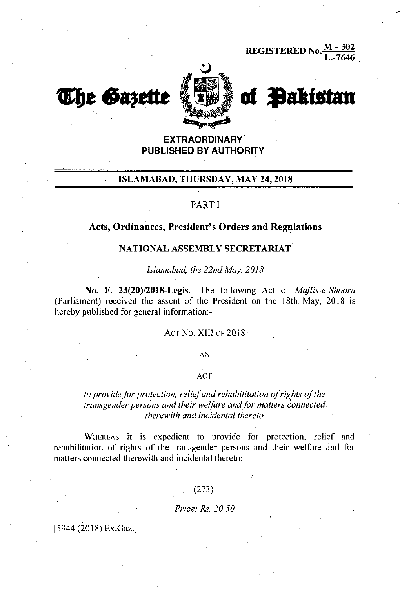**REGISTERED No.**  $\frac{M - 302}{L - 7646}$ 





of Pakistan

# **EXTRAORDINARY PUBLISHED BY AUTHORITY**

# ISLAMABAD, THURSDAY, MAY 24, 2018

# PART I

### Acts, Ordinances, President's Orders and Regulations

### NATIONAL ASSEMBLY SECRETARIAT

Islamabad, the 22nd May, 2018

No. F. 23(20)/2018-Legis.—The following Act of Majlis-e-Shoora (Parliament) received the assent of the President on the 18th May, 2018 is hereby published for general information -

### ACT NO. XIII OF 2018

#### AN

### **ACT**

## to provide for protection, relief and rehabilitation of rights of the transgender persons and their welfare and for matters connected therewith and incidental thereto

WHEREAS it is expedient to provide for protection, relief and rehabilitation of rights of the transgender persons and their welfare and for matters connected therewith and incidental thereto;

### $(273)$

#### Price: Rs. 20.50

### [5944 (2018) Ex.Gaz.]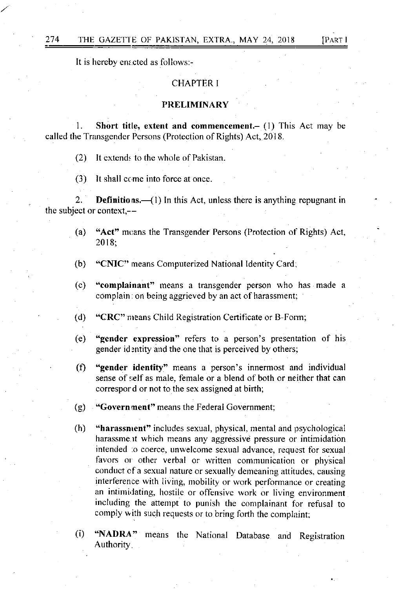It is hereby enz.cted as follows:-

## CHAPTER I

#### PRELIMINARY

Short title, extent and commencement. $-$  (1) This Act may be called the Transgender Persons (Protection of Rights) Act, 2018.

 $(2)$  It extends to the whole of Pakistan.

(3) It shall ccme into force at once.

2. **Definitions.** (1) In this Act, unless there is anything repugnant in the subject or context $--$ 

- (a) "Act" means the Transgender Persons (Protection of Rights) Act, 2018;
- (b) "CNIC" means Computerized National ldentity Card
- (c) "complainant" means a transgender person who has made <sup>a</sup> complain: on being aggrieved by an act of harassment;
- (d) "CRC" nreans Child Registration Certificate or B-Form;
- (e) "gender expression" refers to a person's presentation of his gender identity and the one that is perceived by others;
- (f) "gender identity" means a person's innermost and individual sense of self as male, female or a blend of both or neither that can correspord or not to the sex assigned at birth;
- (g) **"Govern ment"** means the Federal Government
- (h) "harassnrent" includes sexual, physical, mental and psychological harassment which means any aggressive pressure or intimidation intended :o coerce, unwelcome sexual advance, request for sexual favors or other verbal or written communication or physical conduct cf a sexual nature or sexually derneaning attitudes. causing interference with living, mobility or work performance or creating an intimidating, hostile or offensive work or living environment including the attempt to punish the complainant for refusal to comply with such requests or to bring forth the complaint;
- (i) "NADRA" Authority means the National Database and Registration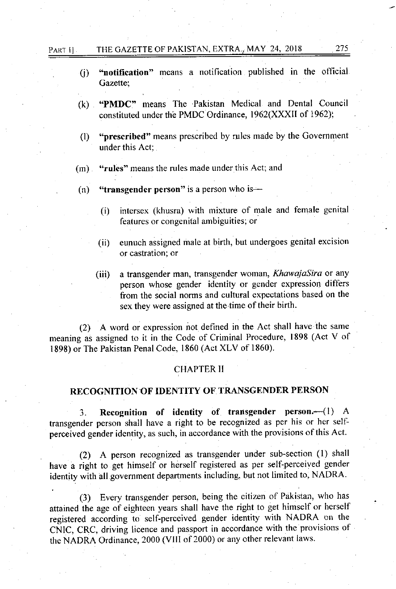## PART I] THE GAZETTE OF PAKISTAN, EXTRA., MAY 24, 2018 275

- $(i)$  "notification" means a notification published in the official Gazette;
- (k) 'PMDC" means The Pakistan Medical and Dental Council constituted under the PMDC Ordinance, 1962(XXXII of 1962);
- (l) "prescribed" means prescribed by rples made by the Government under this Act;
- (m) "rules" means the rules made under this Act; and
- (n) "transgender person" is a person who is---
	- (i) intersex (khusra) with mixture of male and female genital features or congenital ambiguities; or
	- (ii) eunuch assigned male at birth, but undergoes genital excision or castration; or
	- (iii) a transgender man, transgender woman, KhawajaSira or any person whose gender identity or gender expression differs from the social norms and cultural expectations based on the sex they were assigned at the time of their birth.

 $(2)$  A word or expression not defined in the Act shall have the same meaning as assigned to it in the Code of Criminal Procedure, 1898 (Act V of 1898) or The Pakistan Penal Code, I 860 (Act XLV of 1860)

### CHAPTER II

## RECOGNITION OF IDENTITY OF TRANSGENDER PERSON

3. Recognition of identity of transgender person. $-(1)$  A transgender person shall have a right to be recognized as per his or her selfperceived gender identity, as such, in accordance with the provisions of this Act.

(2) A person recognized as transgender under sub-sectiou (l) shall have a right to get himself or herself registered as per self-perceived gender identity with all government departments including, but not limited to, NADRA.

(3) Every transgender person, being the citizen of Pakistan, who has attained the age of eighteen years shall have the right to get himself or herself registered according to self-perceived gender identity with NADRA on the CNIC, CRC, driving licence and passport in accordance with the provisions of the NADRA Ordinance, 2000 (VIII of 2000) or any other relevant laws.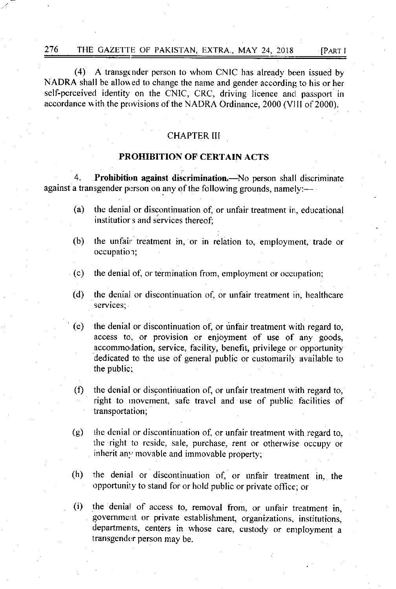A transgender person to whom CNIC has already been issued by  $(4)$ NADRA shall be allowed to change the name and gender according to his or her self-perceived identity on the CNIC, CRC, driving licence and passport in accordance with the provisions of the NADRA Ordinance, 2000 (VIII of 2000).

**[PART I** 

### **CHAPTER III**

## PROHIBITION OF CERTAIN ACTS

Prohibition against discrimination.- No person shall discriminate  $\blacktriangle$ against a transgender person on any of the following grounds, namely:—

- $(a)$ the denial or discontinuation of, or unfair treatment in, educational institutior s and services thereof;
- the unfair treatment in, or in relation to, employment, trade or  $(b)$ occupation;
- $(c)$ the denial of, or termination from, employment or occupation;
- $(d)$ the denial or discontinuation of, or unfair treatment in, healthcare services:

 $(e)$ the denial or discontinuation of, or unfair treatment with regard to, access to, or provision or enjoyment of use of any goods, accommodation, service, facility, benefit, privilege or opportunity dedicated to the use of general public or customarily available to the public:

- $(f)$ the denial or discontinuation of, or unfair treatment with regard to, right to movement, safe travel and use of public facilities of transportation;
- the denial or discontinuation of, or unfair treatment with regard to,  $(g)$ the right to reside, sale, purchase, rent or otherwise occupy or inherit any movable and immovable property:
- $(h)$ the denial or discontinuation of, or unfair treatment in, the opportunity to stand for or hold public or private office; or
- the denial of access to, removal from, or unfair treatment in,  $(i)$ government or private establishment, organizations, institutions, departments, centers in whose care, custody or employment a transgender person may be.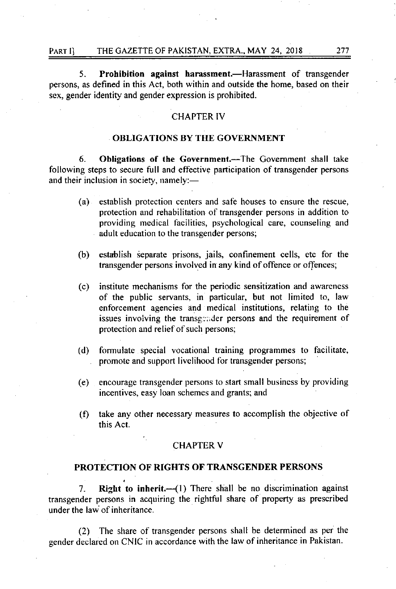### PART II THE GAZETTE OF PAKISTAN, EXTRA., MAY 24, 2018 277

5. Prohibition against harassment.—Harassment of transgender persons, as defined in this Act, both within and outside the home, based on their sex, gender identity and gender expression is prohibited.

### CHAPTER IV

## OBLIGATIONS BY THE GOVERNMENT

6. Obligations of the Government.-The Government shall take following steps to secure full and effective participation of transgender persons and their inclusion in society, namely:-

- (a) establish protection centers and safe houses to ensure the rescue, protection and rehabilitation of transgender persons in addition to providing medical facilities, psychological care, counseling and adult education to the transgender persons;
- (b) establish separate prisons, jails, confinement cells, etc for the transgender persons involved in any kind of offence or offences;
- (c) institute mechanisrns for the periodic sensitization and awareness of the public servants, in particular, but not limited to, law enforcement agencies and medical institutions, relating to the issues involving the transgender persons and the requirement of protection and relief of such persons;
- (d) formulate special vocational training programmes to facilitate, promote and support livelihood for transgender persons;
- (e) encourage transgender persons to start small business by providing incentives, easy loan schemes and grants; and
- (f) take any other necessary measures to accomplish the objective of this Act.

#### **CHAPTER V**

### PROTECTION OF RIGHTS OF TRANSGENDER PERSONS

7. Right to inherit. $\left( \frac{1}{1} \right)$  There shall be no discrimination against transgender persons in acquiring the rightful share of property as prescribed under the law of inheritance.

(2) The share of transgender persons shall be determined as per the gender declared on CNIC in accordance with the law of inheritance in Pakistan.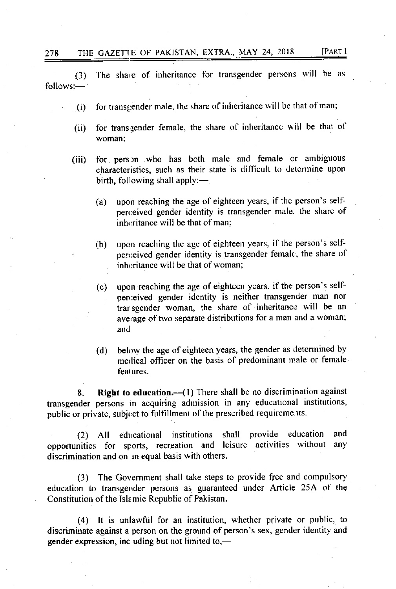(3) The share of inheritance for transgender persons will be as  $follows:$   $-$ 

- $(i)$  for transgender male, the share of inheritance will be that of man;
- (ii) for transgender female, the share of inheritance will be that of woman;
- (iii) for person who has both male and female or ambiguous characteristics, such as their state is difficult to determine upon birth, following shall apply: $-$ .
	- (a) upon reaching the age of eighteen years, if the person's selfperceived gender identity is transgender male, the share of inheritance will be that of man:
	- (b) upon reaching the age of eighteen years. if the person's self' perceived gender identity is transgender female, the share of inheritance will be that of woman:
	- (c) upon reaching the age of eighteen years. if the person's selfperceived gender identity is neither transgender man nor trarsgender woman, the share of inheritance will be an average of two separate distributions for a man and a woman; and
	- (d) below the age of eighteen years, the gender as determined by medical officer on the basis of predominant male or female features.

8. Right to education. $-$ (1) There shall be no discrimination against transgender persons in acquiring admission in any educational institutions, public or private, subject to fulfillment of the prescribed requirements.

(2) All educational institutions shall provide education and opportunities for sports, recreation and leisure activities without any discrimination and on an equal basis with others.

(3) The Government shall take steps to provide free and compulsory education to transgender persons as guaranteed under Article 25A of the Constitution of the Islemic Republic of Pakistan.

(4) It is unlawful for an institution, whether private or public, to discriminate against a person on the ground of person's sex, gender identity and gender expression, inc uding but not limited to, $-$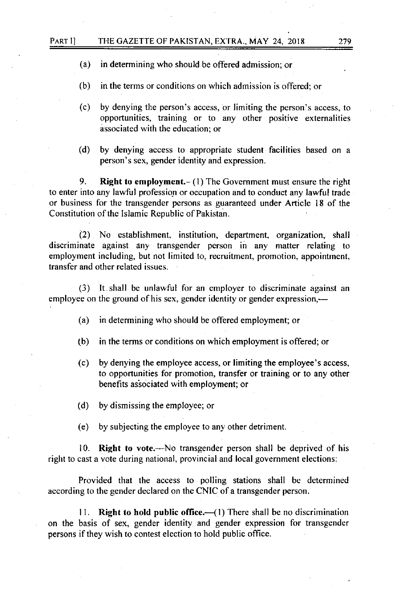#### PART I] THE GAZETTE OF PAKISTAN, EXTRA., MAY 24, 2018 279

- (a) in determining who should be offered admission; or
- (b) in the terms or conditions on which admission is offered: or
- (c) by denying the person's access, or limiting the person's access, to opportunities, training or to any other positive externalities associated with the education; or
- (d) by denying access to appropriate student facilities based on <sup>a</sup> person's sex, gender identity and expression.

9. Right to employment.- (1) The Government must ensure the right to enter into any lawful profession or occupation and to conduct any lawful trade or business for the transgender persons as guaranteed under Anicle 18 of the Constitution of the Islamic Republic of Pakistan.

(2) No establishment, institution, department, organization,. shall discriminate against any transgender person in any matter relating to employment including, but not limited to, recruitment, promotion, appointment. transfer and other related issues.

(3) It shall be unlawful for an employer to discriminate against an employee on the ground of his sex, gender identity or gender expression.—

- (a) in deterrnining who should be offered employment; or
- (b) in the terms or conditions on which employment is offered; or
- (c) by denying the employee access, or limiting the employee's access, to opportunities for promotion, transfer or training or to any other benefits associated with employment; or
- (d) by dismissing the employee; or
- (e) by subjecting the employee to any other detriment

10. Right to vote.—No transgender person shall be deprived of his right to cast a vote during national, provincial and local government elections:

Provided that the access to polling stations shall be determined according to the gender declared on the CNIC of a transgender person.

11. Right to hold public office.— $(1)$  There shall be no discrimination on the basis of sex, gender identity and gender expression for transgender persons if they wish to contest election to hold public office.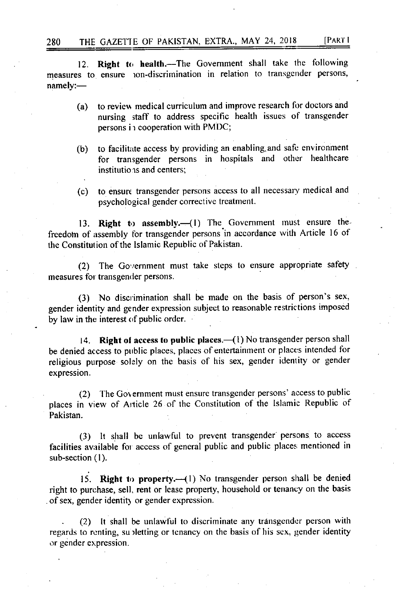280 THE GAZETTE OF PAKISTAN, EXTRA., MAY 24, 2018 [PART I

12. Right to health.-The Government shall take the following measures to ensure ion-discrimination in relation to transgender persons, namely:-

- (a) to review medical curriculum and improve research for doctors and nursing staff to address specific health issues of transgender persons in cooperation with PMDC;
- (b) to facilitate access by providing an enabling and safe environment for transgender persons in hospitals and other healthcare institutions and centers;
- (c) to ensure transgender persons access to all neccssary medical and psychological gender corrective treatment.

13. Right to assembly. $-(1)$  The Government must ensure thefreedom of assembly for transgender persons in accordance with Article 16 of the Constitution of the Islamic Republic of Pakistan.

(2) The Government must take steps to ensure appropriate safety measures for transgender persons.

(3) No discrimination shall be made on the basis of person's sex, gender identity and gender expression subject to reasonable restrictions imposed by law in the interest of public order.

14. Right of access to public places. $-(1)$  No transgender person shall be denied access to public places, places of entertainment or places intended for religious purpose solely on the basis of his sex, gender identity or gender expression.

(2) The Government must ensure transgender persons' access to public places in view of Arlicle 26 of the Constitution of the lslamic Republic of Pakistan.

(3) lt shall be unlawful to prevent transgender persons to access facilities available for access of general public and public places mentioned in sub-section (1).

15. **Right to property.** $-(1)$  No transgender person shall be denied right to purchase, sell, rent or lease property, household or tenancy on the basis of sex, gender identity or gender expression.

. (2) It shall be unlawful to discriminate any transgender person with regards to renting, su iletting or tenancy on the basis of his sex, gender identity or gender expression.